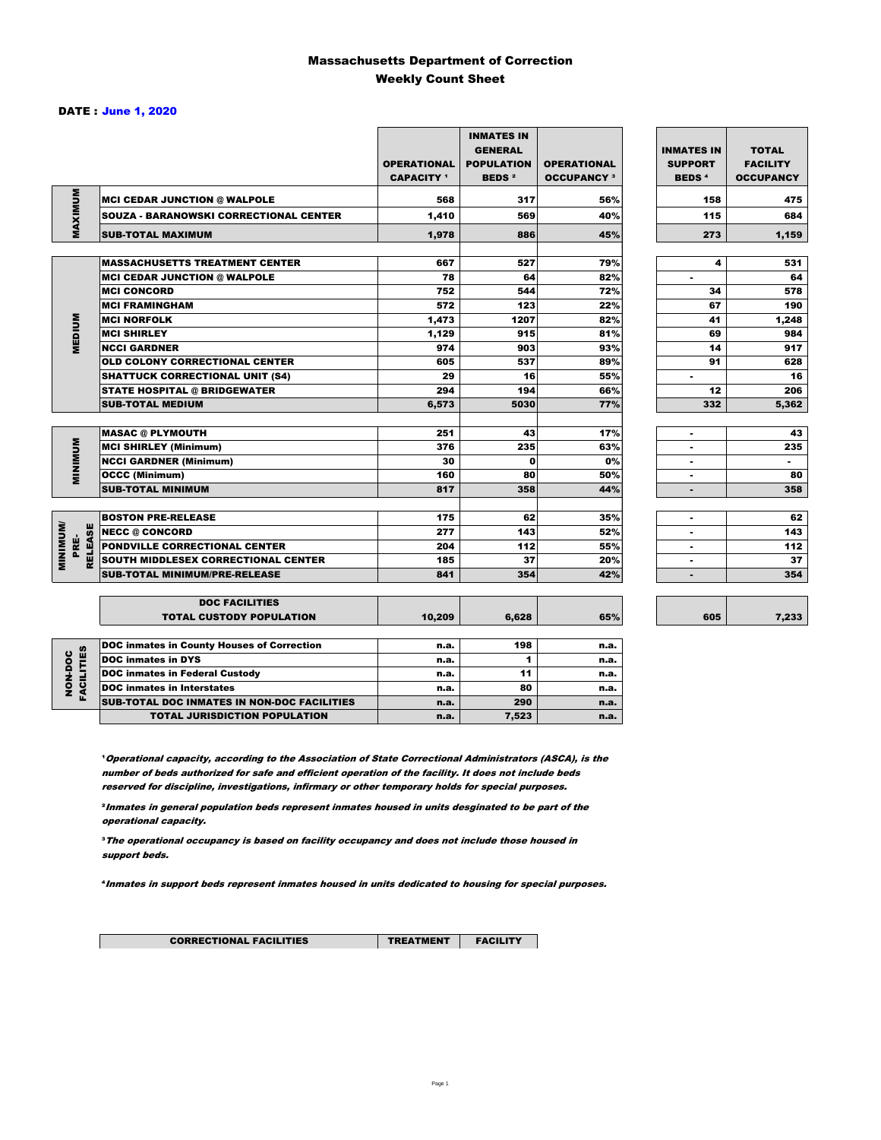### Massachusetts Department of Correction Weekly Count Sheet

#### DATE : June 1, 2020

|                                   |                                                   | <b>OPERATIONAL</b><br><b>CAPACITY</b> <sup>1</sup> | <b>INMATES IN</b><br><b>GENERAL</b><br><b>POPULATION</b><br><b>BEDS<sup>2</sup></b> | <b>OPERATIONAL</b><br><b>OCCUPANCY 3</b> | <b>INMATES IN</b><br><b>SUPPORT</b><br><b>BEDS<sup>4</sup></b> | <b>TOTAL</b><br><b>FACILITY</b><br><b>OCCUPANCY</b> |
|-----------------------------------|---------------------------------------------------|----------------------------------------------------|-------------------------------------------------------------------------------------|------------------------------------------|----------------------------------------------------------------|-----------------------------------------------------|
| MAXIMUM                           | <b>MCI CEDAR JUNCTION @ WALPOLE</b>               | 568                                                | 317                                                                                 | 56%                                      | 158                                                            | 475                                                 |
|                                   | <b>SOUZA - BARANOWSKI CORRECTIONAL CENTER</b>     | 1,410                                              | 569                                                                                 | 40%                                      | 115                                                            | 684                                                 |
|                                   | <b>SUB-TOTAL MAXIMUM</b>                          | 1,978                                              | 886                                                                                 | 45%                                      | 273                                                            | 1,159                                               |
|                                   |                                                   |                                                    |                                                                                     |                                          |                                                                |                                                     |
|                                   | <b>MASSACHUSETTS TREATMENT CENTER</b>             | 667                                                | 527                                                                                 | 79%                                      | 4                                                              | 531                                                 |
|                                   | <b>MCI CEDAR JUNCTION @ WALPOLE</b>               | 78                                                 | 64                                                                                  | 82%                                      | ٠                                                              | 64                                                  |
|                                   | <b>MCI CONCORD</b>                                | 752                                                | 544                                                                                 | 72%                                      | 34                                                             | 578                                                 |
|                                   | <b>MCI FRAMINGHAM</b>                             | 572                                                | 123                                                                                 | 22%                                      | 67                                                             | 190                                                 |
| <b>MEDIUM</b>                     | <b>MCI NORFOLK</b>                                | 1,473                                              | 1207                                                                                | 82%                                      | 41                                                             | 1,248                                               |
|                                   | <b>MCI SHIRLEY</b>                                | 1,129                                              | 915                                                                                 | 81%                                      | 69                                                             | 984                                                 |
|                                   | <b>NCCI GARDNER</b>                               | 974                                                | 903                                                                                 | 93%                                      | 14                                                             | 917                                                 |
|                                   | OLD COLONY CORRECTIONAL CENTER                    | 605                                                | 537                                                                                 | 89%                                      | 91                                                             | 628                                                 |
|                                   | <b>SHATTUCK CORRECTIONAL UNIT (S4)</b>            | 29                                                 | 16                                                                                  | 55%                                      | ٠                                                              | 16                                                  |
|                                   | <b>STATE HOSPITAL @ BRIDGEWATER</b>               | 294                                                | 194                                                                                 | 66%                                      | 12                                                             | 206                                                 |
|                                   | <b>SUB-TOTAL MEDIUM</b>                           | 6,573                                              | 5030                                                                                | 77%                                      | 332                                                            | 5,362                                               |
|                                   | <b>MASAC @ PLYMOUTH</b>                           | 251                                                | 43                                                                                  | 17%                                      |                                                                | 43                                                  |
| <b>MINIMUM</b>                    | <b>MCI SHIRLEY (Minimum)</b>                      | 376                                                | 235                                                                                 | 63%                                      | ٠                                                              | 235                                                 |
|                                   | <b>NCCI GARDNER (Minimum)</b>                     | 30                                                 | $\Omega$                                                                            | 0%                                       | ٠                                                              | $\sim$                                              |
|                                   | <b>OCCC (Minimum)</b>                             | 160                                                | 80                                                                                  | 50%                                      | ٠                                                              | 80                                                  |
|                                   | <b>SUB-TOTAL MINIMUM</b>                          | 817                                                | 358                                                                                 | 44%                                      | $\blacksquare$                                                 | 358                                                 |
|                                   |                                                   |                                                    |                                                                                     |                                          |                                                                |                                                     |
|                                   | <b>BOSTON PRE-RELEASE</b>                         | 175                                                | 62                                                                                  | 35%                                      | ٠                                                              | 62                                                  |
| <b>MINIMINI</b><br><b>RELEASE</b> | <b>NECC @ CONCORD</b>                             | 277                                                | 143                                                                                 | 52%                                      |                                                                | 143                                                 |
| PRE-                              | PONDVILLE CORRECTIONAL CENTER                     | 204                                                | 112                                                                                 | 55%                                      | ٠                                                              | 112                                                 |
|                                   | SOUTH MIDDLESEX CORRECTIONAL CENTER               | 185                                                | 37                                                                                  | 20%                                      | ٠                                                              | 37                                                  |
|                                   | <b>SUB-TOTAL MINIMUM/PRE-RELEASE</b>              | 841                                                | 354                                                                                 | 42%                                      | $\blacksquare$                                                 | 354                                                 |
|                                   | <b>DOC FACILITIES</b>                             |                                                    |                                                                                     |                                          |                                                                |                                                     |
|                                   | <b>TOTAL CUSTODY POPULATION</b>                   | 10,209                                             | 6,628                                                                               | 65%                                      | 605                                                            | 7,233                                               |
|                                   | <b>DOC inmates in County Houses of Correction</b> | n.a.                                               | 198                                                                                 | n.a.                                     |                                                                |                                                     |
| FACILITIES                        | <b>DOC</b> inmates in DYS                         | n.a.                                               | 1                                                                                   | n.a.                                     |                                                                |                                                     |
|                                   | <b>DOC inmates in Federal Custody</b>             | n.a.                                               | 11                                                                                  | n.a.                                     |                                                                |                                                     |
| NON-DOC                           | <b>DOC</b> inmates in Interstates                 | n.a.                                               | 80                                                                                  | n.a.                                     |                                                                |                                                     |
|                                   | CUR TOTAL BOO INIAATEC IN NON BOO FAOILITIES      |                                                    | $\sim$                                                                              |                                          |                                                                |                                                     |

**Operational capacity, according to the Association of State Correctional Administrators (ASCA), is the** number of beds authorized for safe and efficient operation of the facility. It does not include beds reserved for discipline, investigations, infirmary or other temporary holds for special purposes.

SUB-TOTAL DOC INMATES IN NON-DOC FACILITIES n.a. 290 n.a. TOTAL JURISDICTION POPULATION **n.a.** 7,523 n.a.

²Inmates in general population beds represent inmates housed in units desginated to be part of the operational capacity.

³The operational occupancy is based on facility occupancy and does not include those housed in support beds.

⁴Inmates in support beds represent inmates housed in units dedicated to housing for special purposes.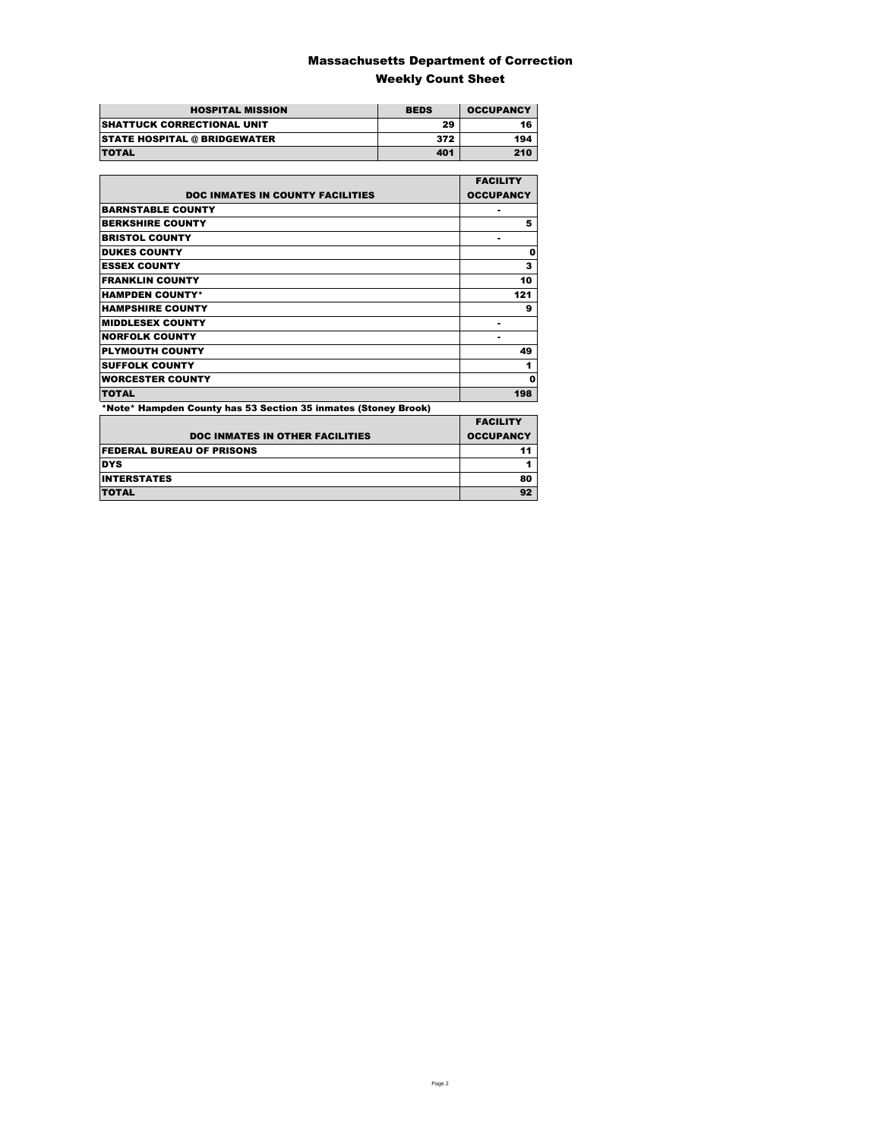### Massachusetts Department of Correction Weekly Count Sheet

| <b>HOSPITAL MISSION</b>             | <b>BEDS</b> | <b>OCCUPANCY</b> |
|-------------------------------------|-------------|------------------|
| <b>SHATTUCK CORRECTIONAL UNIT</b>   | 29          | 16               |
| <b>STATE HOSPITAL @ BRIDGEWATER</b> | 372         | 194              |
| <b>TOTAL</b>                        | 401         | 210              |

|                                                                | <b>FACILITY</b>  |
|----------------------------------------------------------------|------------------|
| <b>DOC INMATES IN COUNTY FACILITIES</b>                        | <b>OCCUPANCY</b> |
| <b>BARNSTABLE COUNTY</b>                                       |                  |
| <b>BERKSHIRE COUNTY</b>                                        | 5                |
| <b>BRISTOL COUNTY</b>                                          |                  |
| <b>DUKES COUNTY</b>                                            | Ω                |
| <b>ESSEX COUNTY</b>                                            | 3                |
| <b>FRANKLIN COUNTY</b>                                         | 10               |
| <b>HAMPDEN COUNTY*</b>                                         | 121              |
| <b>HAMPSHIRE COUNTY</b>                                        | 9                |
| <b>MIDDLESEX COUNTY</b>                                        | -                |
| <b>NORFOLK COUNTY</b>                                          | ۰                |
| <b>PLYMOUTH COUNTY</b>                                         | 49               |
| <b>SUFFOLK COUNTY</b>                                          | 1                |
| <b>WORCESTER COUNTY</b>                                        | Ω                |
| <b>TOTAL</b>                                                   | 198              |
| *Note* Hampden County has 53 Section 35 inmates (Stoney Brook) |                  |
|                                                                | <b>EACH ITV</b>  |

| <b>DOC INMATES IN OTHER FACILITIES</b> | <b>FACILITY</b><br><b>OCCUPANCY</b> |
|----------------------------------------|-------------------------------------|
| <b>FEDERAL BUREAU OF PRISONS</b>       |                                     |
| <b>DYS</b>                             |                                     |
| <b>INTERSTATES</b>                     | 80                                  |
| <b>TOTAL</b>                           |                                     |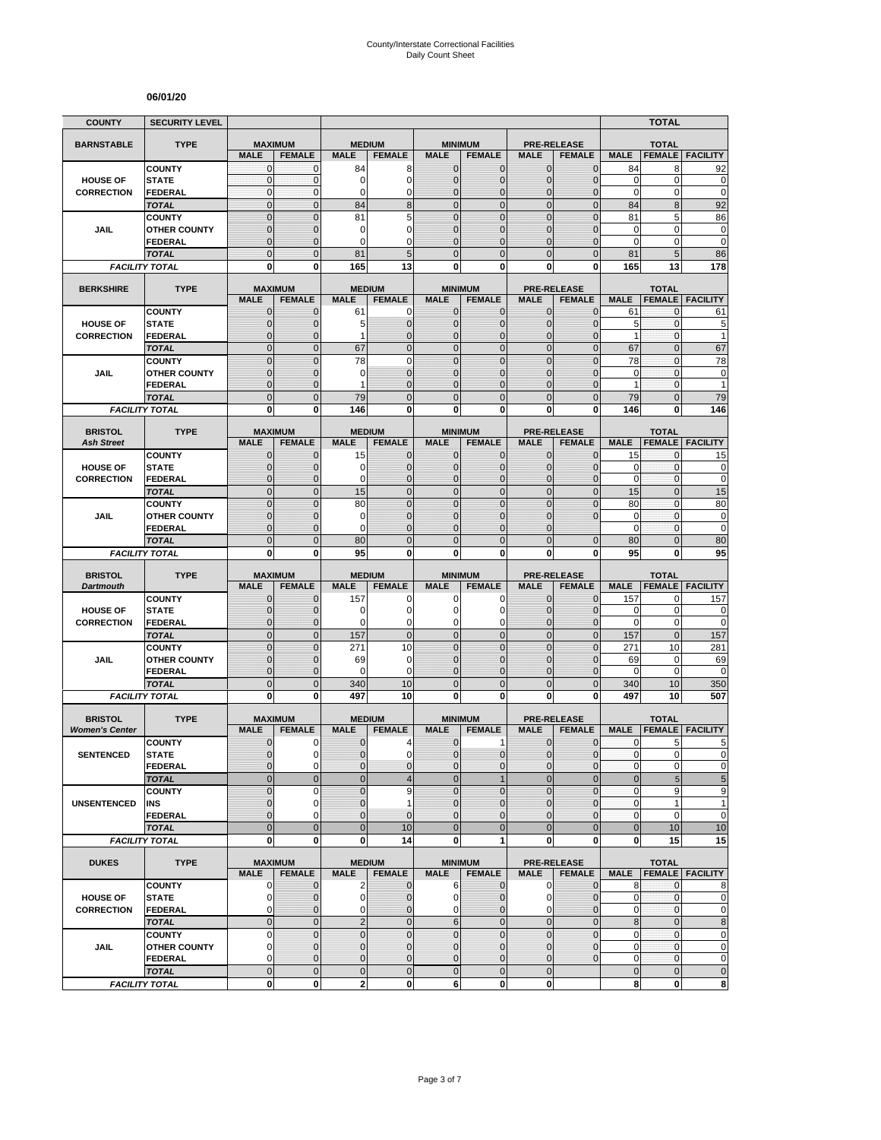#### **06/01/20**

| <b>COUNTY</b>                           | <b>SECURITY LEVEL</b>                 |                                  |                                 |                            |                                |                               |                                 |                               |                                     |                      | <b>TOTAL</b>                  |                          |
|-----------------------------------------|---------------------------------------|----------------------------------|---------------------------------|----------------------------|--------------------------------|-------------------------------|---------------------------------|-------------------------------|-------------------------------------|----------------------|-------------------------------|--------------------------|
| <b>BARNSTABLE</b>                       | <b>TYPE</b>                           | <b>MAXIMUM</b>                   |                                 |                            | <b>MEDIUM</b>                  |                               | <b>MINIMUM</b>                  |                               | <b>PRE-RELEASE</b>                  |                      | <b>TOTAL</b>                  |                          |
|                                         |                                       | <b>MALE</b>                      | <b>FEMALE</b>                   | <b>MALE</b>                | <b>FEMALE</b>                  | <b>MALE</b>                   | <b>FEMALE</b>                   | <b>MALE</b>                   | <b>FEMALE</b>                       | <b>MALE</b>          | <b>FEMALE</b>                 | <b>FACILITY</b>          |
|                                         | <b>COUNTY</b>                         | $\mathbf 0$                      | $\mathbf 0$                     | 84                         | 8                              | $\mathbf{0}$                  | 0                               | $\mathbf{0}$                  | $\overline{0}$                      | 84                   | 8                             | 92                       |
| <b>HOUSE OF</b>                         | <b>STATE</b>                          | $\mathbf{0}$                     | $\mathbf{0}$                    | 0                          | $\mathbf 0$                    | $\overline{0}$                | $\overline{0}$                  | $\mathbf 0$                   | $\overline{0}$                      | $\mathbf 0$          | 0                             | $\mathbf 0$              |
| <b>CORRECTION</b>                       | <b>FEDERAL</b>                        | $\mathbf 0$<br>$\overline{0}$    | $\mathbf 0$                     | 0                          | $\mathbf 0$<br>8               | 0<br>$\mathbf 0$              | $\mathbf 0$                     | $\mathbf 0$                   | 0                                   | $\pmb{0}$            | 0                             | $\mathbf 0$              |
|                                         | <b>TOTAL</b><br><b>COUNTY</b>         | $\mathbf 0$                      | $\mathbf{0}$<br>$\overline{0}$  | 84<br>81                   | 5                              | $\Omega$                      | $\mathbf 0$<br>$\mathbf 0$      | $\mathbf{0}$<br>$\mathbf{0}$  | $\mathbf 0$<br>$\overline{0}$       | 84<br>81             | 8<br>5                        | 92<br>86                 |
| JAIL                                    | <b>OTHER COUNTY</b>                   | $\mathbf{0}$                     | $\mathbf 0$                     | 0                          | $\mathbf 0$                    | $\overline{0}$                | $\overline{0}$                  | $\Omega$                      | $\overline{0}$                      | $\mathbf 0$          | 0                             | $\pmb{0}$                |
|                                         | FEDERAL                               | $\mathbf 0$                      | $\mathbf 0$                     | $\Omega$                   | $\mathbf 0$                    | $\Omega$                      | $\overline{0}$                  | $\Omega$                      | $\overline{0}$                      | $\mathbf 0$          | 0                             | $\mathbf 0$              |
|                                         | <b>TOTAL</b>                          | $\overline{0}$                   | $\Omega$                        | 81                         | 5                              | $\Omega$                      | $\overline{0}$                  | $\Omega$                      | $\overline{0}$                      | 81                   | 5                             | 86                       |
|                                         | <b>FACILITY TOTAL</b>                 | 0                                | $\bf{0}$                        | 165                        | 13                             | 0                             | 0                               | 0                             | 0                                   | 165                  | 13                            | 178                      |
|                                         |                                       |                                  |                                 |                            |                                |                               |                                 |                               |                                     |                      |                               |                          |
| <b>BERKSHIRE</b>                        | <b>TYPE</b>                           | <b>MALE</b>                      | <b>MAXIMUM</b><br><b>FEMALE</b> | <b>MALE</b>                | <b>MEDIUM</b><br><b>FEMALE</b> | <b>MALE</b>                   | <b>MINIMUM</b><br><b>FEMALE</b> | <b>MALE</b>                   | <b>PRE-RELEASE</b><br><b>FEMALE</b> | <b>MALE</b>          | <b>TOTAL</b><br><b>FEMALE</b> | <b>FACILITY</b>          |
|                                         | <b>COUNTY</b>                         | $\mathbf 0$                      | $\mathbf 0$                     | 61                         | 0                              | 0                             | $\mathbf{0}$                    | $\mathbf{0}$                  | $\mathbf{0}$                        | 61                   | 0                             | 61                       |
| <b>HOUSE OF</b>                         | <b>STATE</b>                          | $\mathbf{0}$                     | $\mathbf 0$                     | 5                          | $\mathbf 0$                    | $\mathbf{0}$                  | $\mathbf 0$                     | $\mathbf{0}$                  | $\overline{0}$                      | 5                    | $\mathbf{0}$                  | 5                        |
| <b>CORRECTION</b>                       | <b>FEDERAL</b>                        | $\overline{0}$                   | $\mathbf 0$                     | 1                          | $\mathbf 0$                    | 0                             | $\overline{0}$                  | $\mathbf{0}$                  | $\overline{0}$                      | $\mathbf{1}$         | $\mathbf 0$                   | 1                        |
|                                         | <b>TOTAL</b>                          | $\overline{0}$                   | $\overline{0}$                  | 67                         | $\mathbf 0$                    | $\mathbf 0$                   | $\overline{0}$                  | $\mathbf{0}$                  | $\overline{0}$                      | 67                   | $\overline{0}$                | 67                       |
|                                         | <b>COUNTY</b>                         | $\overline{0}$                   | $\overline{0}$                  | 78                         | $\mathbf 0$                    | $\mathbf 0$                   | $\overline{0}$                  | $\mathbf{0}$                  | $\overline{0}$                      | 78                   | $\mathbf{0}$                  | 78                       |
| <b>JAIL</b>                             | <b>OTHER COUNTY</b>                   | $\mathbf{0}$                     | $\mathbf 0$                     | 0                          | $\mathbf{0}$                   | $\mathbf{0}$                  | $\mathbf 0$                     | $\Omega$                      | $\mathbf{0}$                        | $\mathbf 0$          | $\mathbf{0}$                  | $\pmb{0}$                |
|                                         | <b>FEDERAL</b>                        | $\mathbf 0$                      | $\mathbf 0$                     | 1                          | $\overline{0}$                 | $\mathbf{0}$                  | $\mathbf 0$                     | $\mathbf{0}$                  | $\overline{0}$                      | $\mathbf{1}$         | $\mathbf{0}$                  | $\mathbf{1}$             |
|                                         | <b>TOTAL</b>                          | $\mathbf 0$                      | $\overline{0}$                  | 79                         | $\mathbf 0$                    | $\overline{0}$                | $\mathbf 0$                     | $\mathbf{0}$                  | $\mathbf 0$                         | 79                   | $\overline{0}$                | 79                       |
|                                         | <b>FACILITY TOTAL</b>                 | 0                                | 0                               | 146                        | 0                              | $\mathbf{0}$                  | 0                               | $\bf{0}$                      | 0                                   | 146                  | 0                             | 146                      |
| <b>BRISTOL</b>                          | <b>TYPE</b>                           | <b>MAXIMUM</b>                   |                                 |                            | <b>MEDIUM</b>                  |                               | <b>MINIMUM</b>                  |                               | <b>PRE-RELEASE</b>                  |                      | <b>TOTAL</b>                  |                          |
| <b>Ash Street</b>                       |                                       | <b>MALE</b>                      | <b>FEMALE</b>                   | <b>MALE</b>                | <b>FEMALE</b>                  | <b>MALE</b>                   | <b>FEMALE</b>                   | <b>MALE</b>                   | <b>FEMALE</b>                       | <b>MALE</b>          |                               | <b>FEMALE FACILITY</b>   |
|                                         | <b>COUNTY</b>                         | $\mathbf 0$                      | $\mathbf 0$                     | 15                         | $\mathbf{0}$                   | $\mathbf{0}$                  | 0                               | $\mathbf{0}$                  | 0                                   | 15                   | 0                             | 15                       |
| <b>HOUSE OF</b>                         | <b>STATE</b>                          | $\overline{0}$                   | $\mathbf 0$                     | 0                          | $\mathbf 0$                    | $\Omega$                      | $\mathbf{0}$                    | $\mathbf{0}$                  | $\overline{0}$                      | 0                    | 0                             | $\pmb{0}$                |
| <b>CORRECTION</b>                       | <b>FEDERAL</b>                        | $\mathbf{0}$                     | $\mathbf 0$                     | $\Omega$                   | $\mathbf 0$                    | $\Omega$                      | $\mathbf 0$                     | $\mathbf{0}$                  | $\overline{0}$                      | $\mathbf 0$          | $\mathbf{0}$                  | $\mathbf 0$              |
|                                         | <b>TOTAL</b>                          | $\overline{0}$                   | $\Omega$                        | 15                         | $\overline{0}$                 | $\mathbf 0$                   | $\mathbf 0$                     | $\mathbf{0}$                  | $\overline{0}$                      | 15                   | $\overline{0}$                | 15                       |
|                                         | <b>COUNTY</b>                         | $\overline{0}$                   | $\Omega$                        | 80                         | $\overline{0}$                 | $\overline{0}$                | $\overline{0}$                  | $\Omega$                      | $\overline{0}$                      | 80                   | $\overline{0}$                | 80                       |
| JAIL                                    | <b>OTHER COUNTY</b>                   | $\mathbf 0$                      | $\mathbf 0$                     | $\mathbf 0$                | $\mathbf 0$                    | $\mathbf{0}$                  | $\mathbf 0$                     | $\mathbf 0$                   | 0                                   | $\mathbf 0$          | $\mathbf{0}$                  | $\mathbf 0$              |
|                                         | <b>FEDERAL</b><br><b>TOTAL</b>        | $\overline{0}$<br>$\overline{0}$ | $\mathbf 0$<br>$\mathbf{0}$     | $\Omega$<br>80             | $\overline{0}$<br>$\mathbf 0$  | $\Omega$<br>$\mathbf{0}$      | 0<br>$\overline{0}$             | $\Omega$<br>$\Omega$          | $\overline{0}$                      | $\mathbf 0$<br>80    | 0<br>$\overline{0}$           | $\mathbf 0$<br>80        |
|                                         | <b>FACILITY TOTAL</b>                 | 0                                | $\mathbf 0$                     | 95                         | 0                              | $\mathbf{0}$                  | 0                               | 0                             | 0                                   | 95                   | 0                             | 95                       |
|                                         |                                       |                                  |                                 |                            |                                |                               |                                 |                               |                                     |                      |                               |                          |
| <b>BRISTOL</b>                          | <b>TYPE</b>                           | <b>MAXIMUM</b>                   |                                 |                            | <b>MEDIUM</b>                  |                               | <b>MINIMUM</b>                  |                               | <b>PRE-RELEASE</b>                  |                      | <b>TOTAL</b>                  |                          |
| <b>Dartmouth</b>                        |                                       | <b>MALE</b>                      | <b>FEMALE</b>                   | <b>MALE</b>                | <b>FEMALE</b>                  | <b>MALE</b>                   | <b>FEMALE</b>                   | <b>MALE</b>                   | <b>FEMALE</b>                       | <b>MALE</b>          | <b>FEMALE</b>                 | <b>FACILITY</b>          |
|                                         | <b>COUNTY</b>                         | $\mathbf 0$<br>$\overline{0}$    | $\mathbf 0$<br>$\Omega$         | 157                        | 0<br>$\mathbf 0$               | 0<br>$\Omega$                 | 0                               | $\mathbf{0}$<br>$\Omega$      | $\overline{0}$                      | 157                  | 0<br>$\mathbf 0$              | 157                      |
| <b>HOUSE OF</b><br><b>CORRECTION</b>    | <b>STATE</b><br><b>FEDERAL</b>        | $\overline{0}$                   | $\mathbf{0}$                    | 0<br>$\mathbf 0$           | 0                              | 0                             | 0<br>0                          | $\mathbf{0}$                  | $\mathbf 0$<br>$\overline{0}$       | 0<br>$\mathbf 0$     | $\mathbf 0$                   | 0<br>$\mathbf 0$         |
|                                         | <b>TOTAL</b>                          | $\overline{0}$                   | $\mathbf{0}$                    | 157                        | $\mathbf{0}$                   | $\overline{0}$                | $\mathbf 0$                     | $\mathbf{0}$                  | $\mathbf 0$                         | 157                  | $\mathbf{0}$                  | 157                      |
|                                         | <b>COUNTY</b>                         | $\mathbf 0$                      | $\mathbf{0}$                    | 271                        | 10                             | $\mathbf{0}$                  | $\mathbf 0$                     | $\mathbf{0}$                  | $\mathbf 0$                         | 271                  | 10                            | 281                      |
| JAIL                                    | <b>OTHER COUNTY</b>                   | $\overline{0}$                   | $\mathbf 0$                     | 69                         | $\mathbf 0$                    | $\overline{0}$                | $\overline{0}$                  | $\Omega$                      | $\overline{0}$                      | 69                   | 0                             | 69                       |
|                                         | <b>FEDERAL</b>                        | $\mathbf 0$                      | $\mathbf 0$                     | 0                          | $\mathbf 0$                    | 0                             | $\mathbf 0$                     | $\mathbf{0}$                  | 0                                   | 0                    | $\mathbf 0$                   | $\mathbf 0$              |
|                                         | <b>TOTAL</b>                          | $\mathbf 0$                      | $\overline{0}$                  | 340                        | 10                             | $\mathbf 0$                   | $\mathbf 0$                     | $\mathbf{0}$                  | $\mathbf 0$                         | 340                  | 10                            | 350                      |
|                                         | <b>FACILITY TOTAL</b>                 | O                                | 0                               | 497                        | 10                             | 0                             | $\bf{0}$                        | 0                             | 0                                   | 497                  | 10                            | 507                      |
|                                         |                                       |                                  |                                 |                            |                                |                               |                                 |                               |                                     |                      |                               |                          |
| <b>BRISTOL</b><br><b>Women's Center</b> | <b>TYPE</b>                           | <b>MAXIMUM</b><br><b>MALE</b>    | <b>FEMALE</b>                   | <b>MALE</b>                | <b>MEDIUM</b><br><b>FEMALE</b> | <b>MALE</b>                   | <b>MINIMUM</b><br><b>FEMALE</b> | <b>MALE</b>                   | <b>PRE-RELEASE</b><br><b>FEMALE</b> | <b>MALE</b>          | <b>TOTAL</b><br><b>FEMALE</b> | <b>FACILITY</b>          |
|                                         | <b>COUNTY</b>                         | $\mathbf 0$                      | 0                               | 0                          | 4                              | $\mathbf 0$                   | 1                               | $\mathbf 0$                   | $\mathbf 0$                         | 0                    | 5                             | 5                        |
| <b>SENTENCED</b>                        | <b>STATE</b>                          | $\overline{0}$                   | 0                               | $\overline{0}$             | $\mathbf 0$                    | $\Omega$                      | $\mathbf 0$                     | $\mathbf{0}$                  | $\mathbf{0}$                        | $\mathbf{0}$         | $\overline{0}$                | 0                        |
|                                         | <b>FEDERAL</b>                        | $\mathbf{0}$                     | 0                               | 0                          | 0                              | $\mathbf 0$                   | 0                               | $\mathbf 0$                   | 0                                   | $\pmb{0}$            | $\mathbf 0$                   | $\pmb{0}$                |
|                                         | <b>TOTAL</b>                          | $\overline{0}$                   | $\overline{0}$                  | $\overline{0}$             | $\overline{4}$                 | $\overline{0}$                | $\mathbf{1}$                    | $\mathbf{0}$                  | $\overline{0}$                      | $\mathbf 0$          | $\overline{5}$                | 5                        |
|                                         | <b>COUNTY</b>                         | $\overline{0}$                   | $\Omega$                        | $\overline{0}$             | 9                              | $\Omega$                      | $\overline{0}$                  | $\Omega$                      | $\overline{0}$                      | $\pmb{0}$            | 9                             | 9                        |
| <b>UNSENTENCED</b>                      | INS                                   | $\mathbf{0}$                     | 0                               | $\pmb{0}$                  | $\mathbf{1}$                   | $\mathbf{0}$                  | 0                               | $\mathbf{0}$                  | $\mathbf 0$                         | $\pmb{0}$            | 1                             | $\mathbf{1}$             |
|                                         | <b>FEDERAL</b>                        | $\overline{0}$                   | $\Omega$                        | $\Omega$                   | $\mathbf{0}$                   | $\Omega$                      | $\overline{0}$                  | $\Omega$                      | $\overline{0}$                      | $\pmb{0}$            | 0                             | $\mathbf 0$              |
|                                         | <b>TOTAL</b><br><b>FACILITY TOTAL</b> | $\overline{0}$<br>0              | $\overline{0}$<br>$\mathbf 0$   | $\overline{0}$<br>$\bf{0}$ | 10<br>14                       | $\overline{0}$<br>$\mathbf 0$ | $\overline{0}$<br>1             | $\overline{0}$<br>$\mathbf 0$ | $\overline{0}$<br>0                 | $\bf 0$<br>0         | 10<br>15                      | 10<br>15                 |
|                                         |                                       |                                  |                                 |                            |                                |                               |                                 |                               |                                     |                      |                               |                          |
| <b>DUKES</b>                            | <b>TYPE</b>                           |                                  | <b>MAXIMUM</b>                  |                            | <b>MEDIUM</b>                  |                               | <b>MINIMUM</b>                  |                               | <b>PRE-RELEASE</b>                  |                      | <b>TOTAL</b>                  |                          |
|                                         |                                       | <b>MALE</b>                      | <b>FEMALE</b>                   | <b>MALE</b>                | <b>FEMALE</b>                  | <b>MALE</b>                   | <b>FEMALE</b>                   | <b>MALE</b>                   | <b>FEMALE</b>                       | <b>MALE</b>          |                               | <b>FEMALE   FACILITY</b> |
|                                         | <b>COUNTY</b>                         | 0                                | $\mathbf 0$                     | 2                          | $\mathbf 0$                    | 6                             | $\mathbf 0$                     | $\mathbf 0$                   | $\mathbf 0$                         | 8                    | $\mathbf{0}$                  | 8                        |
| <b>HOUSE OF</b>                         | <b>STATE</b>                          | $\mathbf 0$                      | $\mathbf{0}$                    | $\mathbf 0$                | $\mathbf{0}$                   | $\mathbf 0$                   | 0                               | 0                             | $\mathbf 0$                         | 0                    | 0                             | $\mathbf 0$              |
| <b>CORRECTION</b>                       | <b>FEDERAL</b><br><b>TOTAL</b>        | 0<br>$\mathbf 0$                 | $\mathbf{0}$<br>$\mathbf 0$     | 0<br>$\sqrt{2}$            | $\mathbf 0$<br>$\mathbf 0$     | $\mathbf 0$<br>$6\phantom{a}$ | $\overline{0}$<br>$\mathbf 0$   | 0<br>$\mathbf 0$              | $\overline{0}$<br>$\mathbf 0$       | $\pmb{0}$<br>$\bf 8$ | 0<br>$\mathbf 0$              | $\mathbf 0$<br>8         |
|                                         | <b>COUNTY</b>                         | 0                                | $\mathbf{0}$                    | $\pmb{0}$                  | $\mathbf 0$                    | $\mathbf 0$                   | $\mathbf 0$                     | $\mathbf{0}$                  | $\mathbf 0$                         | 0                    | 0                             | $\pmb{0}$                |
| JAIL                                    | <b>OTHER COUNTY</b>                   | $\mathbf 0$                      | $\mathbf{0}$                    | $\overline{0}$             | $\mathbf{0}$                   | $\overline{0}$                | $\mathbf 0$                     | $\mathbf{0}$                  | $\overline{0}$                      | $\mathbf 0$          | $\mathbf{0}$                  | $\pmb{0}$                |
|                                         | <b>FEDERAL</b>                        | 0                                | $\mathbf{0}$                    | $\overline{0}$             | $\mathbf 0$                    | $\mathbf{0}$                  | 0                               | $\mathbf 0$                   | $\mathbf 0$                         | 0                    | $\mathbf{0}$                  | $\pmb{0}$                |
|                                         | <b>TOTAL</b>                          | $\mathbf 0$                      | $\mathbf{0}$                    | $\pmb{0}$                  | $\pmb{0}$                      | $\mathbf 0$                   | $\mathbf 0$                     | $\mathbf{0}$                  |                                     | $\pmb{0}$            | $\mathbf 0$                   | $\pmb{0}$                |
|                                         |                                       |                                  |                                 | 2                          | $\mathbf{0}$                   | 6                             | 0                               | $\mathbf{0}$                  |                                     | 8                    | 0                             | 8                        |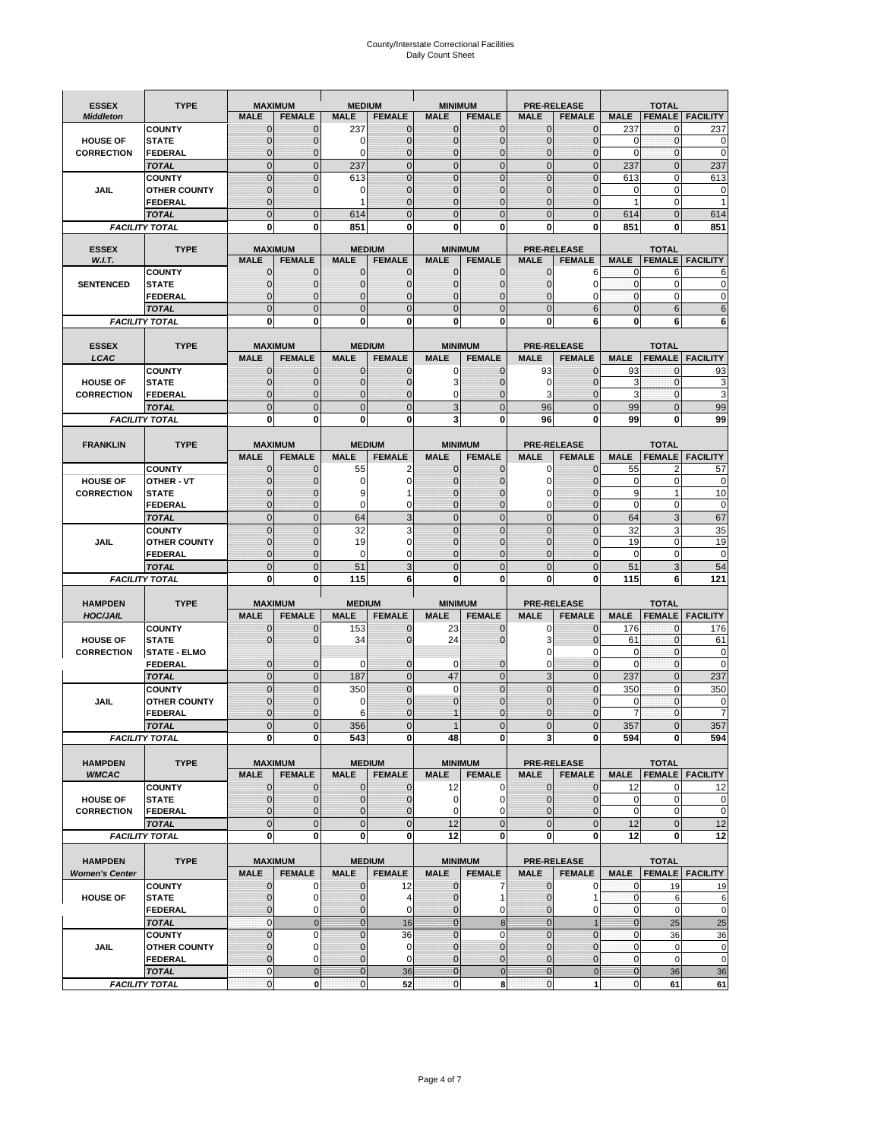# County/Interstate Correctional Facilities Daily Count Sheet

| <b>ESSEX</b>           | <b>TYPE</b>                           |                                | <b>MAXIMUM</b>                   | <b>MEDIUM</b>               |                                | <b>MINIMUM</b>               |                                 |                                | <b>PRE-RELEASE</b>                  |                            | <b>TOTAL</b>                    |                          |
|------------------------|---------------------------------------|--------------------------------|----------------------------------|-----------------------------|--------------------------------|------------------------------|---------------------------------|--------------------------------|-------------------------------------|----------------------------|---------------------------------|--------------------------|
| <b>Middleton</b>       |                                       | <b>MALE</b>                    | <b>FEMALE</b>                    | <b>MALE</b>                 | <b>FEMALE</b>                  | <b>MALE</b>                  | <b>FEMALE</b>                   | MALE                           | <b>FEMALE</b>                       | <b>MALE</b>                | <b>FEMALE</b>                   | <b>FACILITY</b>          |
|                        | <b>COUNTY</b>                         | 0                              | 0                                | 237                         | 0                              | $\mathbf 0$                  | $\mathbf{0}$                    | 0                              | $\Omega$                            | 237                        | $\mathbf 0$                     | 237                      |
| <b>HOUSE OF</b>        | <b>STATE</b>                          | 0                              | $\mathbf 0$                      | $\Omega$                    | 0                              | $\mathbf{0}$                 | $\Omega$                        | $\mathbf 0$                    | $\Omega$                            | $\Omega$                   | $\Omega$                        | 0                        |
| <b>CORRECTION</b>      | <b>FEDERAL</b>                        | 0                              | $\mathbf 0$                      | 0                           | 0                              | $\mathbf{0}$                 | $\mathbf 0$                     | $\mathbf{0}$                   | $\mathbf 0$                         | $\mathbf 0$                | $\mathbf{0}$                    | $\mathbf 0$              |
|                        | <b>TOTAL</b><br><b>COUNTY</b>         | $\overline{0}$<br>$\mathbf{0}$ | $\overline{0}$<br>$\overline{0}$ | 237<br>613                  | $\mathbf 0$<br>$\overline{0}$  | $\mathbf 0$<br>$\mathbf{0}$  | $\overline{0}$<br>$\Omega$      | $\mathbf 0$<br>$\mathbf 0$     | $\overline{0}$<br>$\Omega$          | 237<br>613                 | $\mathbf{0}$<br>$\mathbf 0$     | 237<br>613               |
| JAIL                   | <b>OTHER COUNTY</b>                   | $\mathbf 0$                    | $\overline{0}$                   | 0                           | 0                              | $\mathbf{0}$                 | $\mathbf{0}$                    | $\mathbf 0$                    | ſ                                   | 0                          | $\mathbf 0$                     | 0                        |
|                        | <b>FEDERAL</b>                        | $\mathbf{0}$                   |                                  |                             | $\Omega$                       | $\mathbf{0}$                 | $\Omega$                        | $\mathbf{0}$                   | 0                                   | 1                          | $\mathbf 0$                     |                          |
|                        | <b>TOTAL</b>                          | $\overline{0}$                 | $\mathbf 0$                      | 614                         | $\Omega$                       | $\Omega$                     | $\Omega$                        | $\overline{0}$                 | $\Omega$                            | 614                        | $\Omega$                        | 614                      |
|                        | <b>FACILITY TOTAL</b>                 | 0                              | 0                                | 851                         | O                              | $\bf{0}$                     | 0                               | 0                              | 0                                   | 851                        | 0                               | 851                      |
|                        |                                       |                                |                                  |                             |                                |                              |                                 |                                |                                     |                            |                                 |                          |
| <b>ESSEX</b><br>W.I.T. | <b>TYPE</b>                           | <b>MALE</b>                    | <b>MAXIMUM</b><br><b>FEMALE</b>  | <b>MALE</b>                 | <b>MEDIUM</b><br><b>FEMALE</b> | <b>MALE</b>                  | <b>MINIMUM</b><br><b>FEMALE</b> | <b>MALE</b>                    | <b>PRE-RELEASE</b><br><b>FEMALE</b> | <b>MALE</b>                | <b>TOTAL</b><br><b>FEMALE</b>   | <b>FACILITY</b>          |
|                        | <b>COUNTY</b>                         | $\mathbf{0}$                   | 0                                | $\mathbf 0$                 | 0                              | $\mathbf 0$                  | $\mathbf{0}$                    | $\mathbf 0$                    | 6                                   | 0                          | 6                               | 6                        |
| <b>SENTENCED</b>       | <b>STATE</b>                          | 0                              | $\mathbf 0$                      | $\mathbf{0}$                | $\overline{0}$                 | $\mathbf{0}$                 | $\mathbf{0}$                    | 0                              | $\Omega$                            | $\mathbf 0$                | $\mathbf 0$                     | 0                        |
|                        | <b>FEDERAL</b>                        | $\overline{0}$                 | $\mathbf 0$                      | $\mathbf{0}$                | 0                              | $\mathbf{0}$                 | 0                               | $\mathbf 0$                    | 0                                   | $\mathbf{0}$               | 0                               | 0                        |
|                        | <b>TOTAL</b>                          | $\overline{0}$                 | $\overline{0}$                   | $\mathbf 0$                 | $\overline{0}$                 | $\mathbf{0}$                 | $\overline{0}$                  | $\overline{0}$                 | 6                                   | $\mathbf{0}$               | 6                               | 6                        |
|                        | <b>FACILITY TOTAL</b>                 | 0                              | 0                                | $\bf{0}$                    | O                              | $\bf{0}$                     | 0                               | 0                              | 6                                   | 0                          | 6                               | 6                        |
|                        |                                       |                                |                                  |                             |                                |                              |                                 |                                |                                     |                            |                                 |                          |
| <b>ESSEX</b><br>LCAC   | <b>TYPE</b>                           | <b>MALE</b>                    | <b>MAXIMUM</b><br><b>FEMALE</b>  | <b>MALE</b>                 | <b>MEDIUM</b><br><b>FEMALE</b> | <b>MALE</b>                  | <b>MINIMUM</b><br><b>FEMALE</b> | <b>MALE</b>                    | <b>PRE-RELEASE</b><br><b>FEMALE</b> | <b>MALE</b>                | <b>TOTAL</b>                    | <b>FEMALE</b>   FACILITY |
|                        | <b>COUNTY</b>                         | 0                              | 0                                | $\mathbf{0}$                | 0                              | 0                            | $\mathbf{0}$                    | 93                             | $\Omega$                            | 93                         | $\Omega$                        | 93                       |
| <b>HOUSE OF</b>        | <b>STATE</b>                          | 0                              | $\overline{0}$                   | $\mathbf 0$                 | 0                              | 3                            | $\Omega$                        | 0                              | $\sqrt{ }$                          | 3                          | $\mathbf{0}$                    | 3                        |
| <b>CORRECTION</b>      | FEDERAL                               | 0                              | 0                                | $\mathbf{0}$                | 0                              | 0                            | $\Omega$                        | 3                              | $\mathbf 0$                         | 3                          | $\mathbf 0$                     | 3                        |
|                        | <b>TOTAL</b>                          | $\Omega$                       | $\overline{0}$                   | $\mathbf 0$                 | $\overline{0}$                 | 3                            | $\Omega$                        | 96                             | $\Omega$                            | 99                         | $\Omega$                        | 99                       |
|                        | <b>FACILITY TOTAL</b>                 | 0                              | 0                                | 0                           | 0                              | 3                            | 0                               | 96                             | $\bf{0}$                            | 99                         | 0                               | 99                       |
|                        |                                       |                                |                                  |                             |                                |                              |                                 |                                |                                     |                            |                                 |                          |
| <b>FRANKLIN</b>        | <b>TYPE</b>                           |                                | <b>MAXIMUM</b><br><b>FEMALE</b>  | <b>MALE</b>                 | <b>MEDIUM</b><br><b>FEMALE</b> | <b>MALE</b>                  | <b>MINIMUM</b><br><b>FEMALE</b> | <b>MALE</b>                    | <b>PRE-RELEASE</b><br><b>FEMALE</b> | <b>MALE</b>                | <b>TOTAL</b>                    |                          |
|                        | <b>COUNTY</b>                         | <b>MALE</b><br>$\mathbf{0}$    | 0                                | 55                          | 2                              | $\mathbf{0}$                 | 0                               | 0                              | $\Omega$                            | 55                         | <b>FEMALE</b><br>$\overline{2}$ | <b>FACILITY</b><br>57    |
| <b>HOUSE OF</b>        | <b>OTHER - VT</b>                     | 0                              | $\overline{0}$                   | 0                           | 0                              | $\mathbf{0}$                 | $\mathbf 0$                     | $\mathbf 0$                    | $\Omega$                            | 0                          | $\mathbf 0$                     | $\mathbf 0$              |
| <b>CORRECTION</b>      | <b>STATE</b>                          | $\Omega$                       | $\mathbf 0$                      | 9                           |                                | $\Omega$                     | $\Omega$                        | 0                              | $\sqrt{ }$                          | 9                          | $\mathbf{1}$                    | 10                       |
|                        | FEDERAL                               | $\mathbf{0}$                   | $\overline{0}$                   | $\mathbf 0$                 | 0                              | $\mathbf{0}$                 | $\mathbf{0}$                    | 0                              | $\overline{0}$                      | $\mathbf 0$                | $\mathbf 0$                     | $\pmb{0}$                |
|                        | <b>TOTAL</b>                          | $\overline{0}$                 | $\mathbf{0}$                     | 64                          | 3                              | $\mathbf{0}$                 | $\mathbf{0}$                    | $\mathbf 0$                    | $\overline{0}$                      | 64                         | 3                               | 67                       |
|                        | <b>COUNTY</b>                         | $\Omega$                       | $\overline{0}$                   | 32                          | 3                              | $\Omega$                     | $\Omega$                        | $\mathbf 0$                    | $\Omega$                            | 32                         | 3                               | 35                       |
| JAIL                   | <b>OTHER COUNTY</b>                   | 0                              | $\overline{0}$                   | 19                          | 0                              | $\mathbf 0$                  | $\Omega$                        | $\mathbf 0$                    | $\sqrt{ }$                          | 19                         | $\mathbf 0$                     | 19                       |
|                        | <b>FEDERAL</b>                        | 0<br>$\mathbf{0}$              | 0<br>$\overline{0}$              | 0<br>51                     | 0<br>3                         | $\mathbf{0}$<br>$\mathbf{0}$ | $\Omega$<br>$\Omega$            | $\mathbf{0}$<br>$\overline{0}$ | $\Omega$<br>$\Omega$                | $\mathbf 0$                | $\mathbf 0$<br>3                | $\mathbf 0$<br>54        |
|                        | <b>TOTAL</b><br><b>FACILITY TOTAL</b> | 0                              | 0                                | 115                         | 6                              | $\bf{0}$                     | 0                               | 0                              | 0                                   | 51<br>115                  | 6                               | 121                      |
|                        |                                       |                                |                                  |                             |                                |                              |                                 |                                |                                     |                            |                                 |                          |
| <b>HAMPDEN</b>         | <b>TYPE</b>                           |                                | <b>MAXIMUM</b>                   | <b>MEDIUM</b>               |                                | <b>MINIMUM</b>               |                                 |                                | <b>PRE-RELEASE</b>                  |                            | <b>TOTAL</b>                    |                          |
| <b>HOC/JAIL</b>        |                                       | <b>MALE</b>                    | <b>FEMALE</b>                    | <b>MALE</b>                 | <b>FEMALE</b>                  | <b>MALE</b>                  | <b>FEMALE</b>                   | <b>MALE</b>                    | <b>FEMALE</b>                       | <b>MALE</b>                | <b>FEMALE</b>                   | <b>FACILITY</b>          |
|                        | <b>COUNTY</b>                         | 0                              | $\mathbf 0$                      | 153                         | 0                              | 23                           | 0                               | 0                              | $\mathbf 0$                         | 176                        | $\mathbf{0}$                    | 176                      |
| <b>HOUSE OF</b>        | <b>STATE</b>                          | 0                              | $\overline{0}$                   | 34                          | 0                              | 24                           | $\Omega$                        | 3<br>0                         | $\mathcal{C}$<br>0                  | 61<br>$\mathbf 0$          | $\mathbf{0}$<br>$\mathbf{0}$    | 61<br>0                  |
| <b>CORRECTION</b>      | <b>STATE - ELMO</b><br><b>FEDERAL</b> | $\mathbf{0}$                   | $\mathbf 0$                      | $\Omega$                    | 0                              | 0                            | $\mathbf{0}$                    | $\mathbf 0$                    | 0                                   | $\Omega$                   | $\Omega$                        | $\mathbf 0$              |
|                        | <b>TOTAL</b>                          | $\overline{0}$                 | $\overline{0}$                   | 187                         | $\overline{0}$                 | 47                           | $\mathbf{0}$                    | 3                              | $\Omega$                            | 237                        | $\Omega$                        | 237                      |
|                        | <b>COUNTY</b>                         | $\overline{0}$                 | $\overline{0}$                   | 350                         | 0                              | $\mathbf 0$                  | $\overline{0}$                  | $\overline{0}$                 | $\overline{0}$                      | 350                        | $\mathbf{0}$                    | 350                      |
| <b>JAIL</b>            | <b>OTHER COUNTY</b>                   | 0                              | $\mathbf 0$                      | 0                           | 0                              | $\mathbf{0}$                 | $\Omega$                        | $\mathbf 0$                    | $\sqrt{ }$                          | $\mathbf 0$                | $\mathbf 0$                     | 0                        |
|                        | <b>FEDERAL</b>                        | $\Omega$                       | $\mathbf 0$                      | 6                           | $\Omega$                       |                              | $\Omega$                        | $\mathbf 0$                    | $\Omega$                            | $\overline{7}$             | $\Omega$                        | $\overline{7}$           |
|                        | <b>TOTAL</b>                          | $\overline{0}$                 | $\overline{0}$                   | 356                         | $\Omega$                       |                              | $\overline{0}$                  | $\overline{0}$                 | $\Omega$                            | 357                        | $\Omega$                        | 357                      |
|                        | <b>FACILITY TOTAL</b>                 | $\mathbf{0}$                   | $\boldsymbol{0}$                 | 543                         | o                              | 48                           | 0                               | 3 <sub>l</sub>                 | 0                                   | 594                        | 0                               | 594                      |
| <b>HAMPDEN</b>         | <b>TYPE</b>                           |                                | <b>MAXIMUM</b>                   |                             | <b>MEDIUM</b>                  |                              | <b>MINIMUM</b>                  |                                | <b>PRE-RELEASE</b>                  |                            | <b>TOTAL</b>                    |                          |
| <b>WMCAC</b>           |                                       | <b>MALE</b>                    | <b>FEMALE</b>                    | <b>MALE</b>                 | <b>FEMALE</b>                  | <b>MALE</b>                  | <b>FEMALE</b>                   | <b>MALE</b>                    | <b>FEMALE</b>                       | <b>MALE</b>                |                                 | <b>FEMALE   FACILITY</b> |
|                        | <b>COUNTY</b>                         | $\mathbf 0$                    | $\mathbf{0}$                     | $\mathbf 0$                 | 0                              | 12                           | 0                               | $\mathbf 0$                    | $\mathbf 0$                         | 12                         | 0                               | 12                       |
| <b>HOUSE OF</b>        | <b>STATE</b>                          | $\mathbf{0}$                   | $\mathbf{0}$                     | $\overline{0}$              | 0                              | $\mathbf 0$                  | 0                               | $\mathbf{0}$                   | $\overline{0}$                      | $\mathbf 0$                | $\mathbf 0$                     | 0                        |
| <b>CORRECTION</b>      | <b>FEDERAL</b>                        | $\mathbf{0}$                   | 0                                | $\overline{0}$              | 0                              | $\mathbf 0$                  | $\Omega$                        | 0                              | $\overline{0}$                      | $\mathbf 0$                | $\mathbf 0$                     | $\pmb{0}$                |
|                        | <b>TOTAL</b>                          | $\mathbf{0}$                   | $\overline{0}$                   | $\overline{0}$              | $\overline{0}$                 | 12                           | $\overline{0}$                  | $\mathbf 0$                    | $\mathbf{0}$                        | 12                         | $\mathbf{0}$                    | 12                       |
|                        | <b>FACILITY TOTAL</b>                 | $\bf{0}$                       | $\bf{0}$                         | $\mathbf{0}$                | 0                              | 12                           | 0                               | 0                              | $\bf{0}$                            | 12                         | 0                               | 12                       |
| <b>HAMPDEN</b>         | <b>TYPE</b>                           |                                | <b>MAXIMUM</b>                   |                             | <b>MEDIUM</b>                  |                              | <b>MINIMUM</b>                  |                                | <b>PRE-RELEASE</b>                  |                            | <b>TOTAL</b>                    |                          |
| <b>Women's Center</b>  |                                       | <b>MALE</b>                    | <b>FEMALE</b>                    | <b>MALE</b>                 | <b>FEMALE</b>                  | <b>MALE</b>                  | <b>FEMALE</b>                   | <b>MALE</b>                    | <b>FEMALE</b>                       | <b>MALE</b>                |                                 | <b>FEMALE</b> FACILITY   |
|                        | <b>COUNTY</b>                         | 0                              | 0                                | $\mathbf 0$                 | 12                             | $\mathbf 0$                  | 7                               | 0                              | 0                                   | 0                          | 19                              | 19                       |
| <b>HOUSE OF</b>        | <b>STATE</b>                          | $\mathbf{0}$                   | $\mathbf 0$                      | $\mathbf{0}$                | 4                              | $\mathbf{0}$                 | 1                               | $\mathbf 0$                    | 1                                   | $\mathbf 0$                | 6                               | 6                        |
|                        | <b>FEDERAL</b>                        | 0                              | 0                                | 0                           | 0                              | $\mathbf{0}$                 | 0                               | $\mathbf{0}$                   | 0                                   | $\overline{0}$             | $\mathbf 0$                     | $\mathbf 0$              |
|                        | <b>TOTAL</b>                          | $\mathbf{0}$                   | $\mathbf 0$                      | $\overline{0}$              | 16                             | $\mathbf{0}$                 | $\bf 8$                         | $\mathbf{0}$                   |                                     | $\mathbf{0}$               | 25                              | 25                       |
|                        | <b>COUNTY</b>                         | $\overline{0}$                 | $\mathbf 0$                      | $\mathbf{0}$                | 36                             | $\mathbf{0}$                 | $\mathbf 0$                     | $\overline{0}$                 | $\overline{0}$                      | $\mathbf{0}$               | 36                              | 36                       |
| <b>JAIL</b>            | <b>OTHER COUNTY</b><br><b>FEDERAL</b> | 0<br>$\mathbf 0$               | $\mathbf 0$<br>$\mathbf 0$       | $\mathbf 0$<br>$\mathbf{0}$ | 0<br>0                         | $\mathbf 0$<br>$\mathbf 0$   | $\mathbf{0}$<br>$\mathbf{0}$    | $\mathbf{0}$<br>$\mathbf 0$    | $\Omega$<br>$\overline{0}$          | $\mathbf 0$<br>$\mathbf 0$ | $\mathbf 0$<br>$\mathbf 0$      | $\pmb{0}$<br>$\mathbf 0$ |
|                        | <b>TOTAL</b>                          | $\mathbf 0$                    | $\mathbf 0$                      | $\overline{0}$              | 36                             | $\overline{0}$               | $\mathbf 0$                     | $\mathbf{0}$                   | $\mathbf 0$                         | $\mathbf{0}$               | 36                              | 36                       |
|                        | <b>FACILITY TOTAL</b>                 | $\pmb{0}$                      | $\mathbf 0$                      | $\mathbf{O}$                | 52                             | $\mathbf{0}$                 | 8                               | $\mathbf 0$                    | 1                                   | $\overline{0}$             | 61                              | 61                       |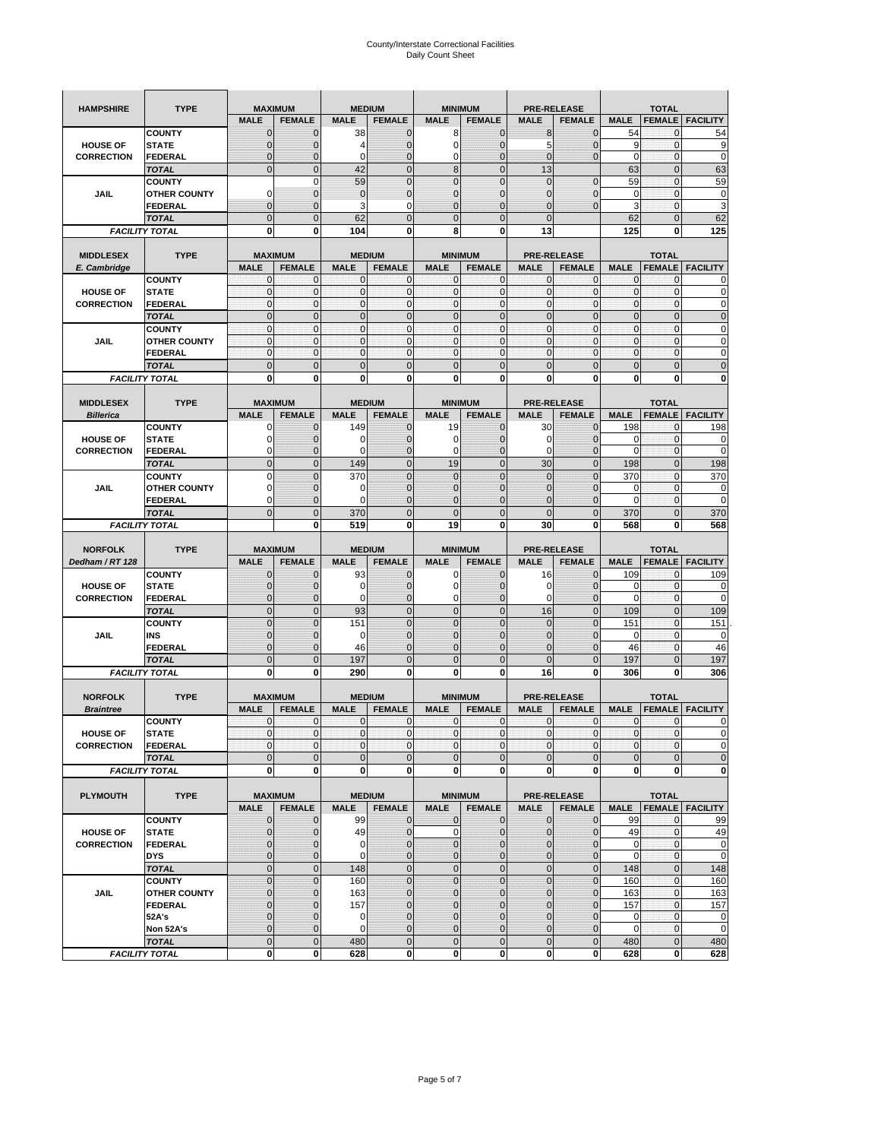| <b>HAMPSHIRE</b>  | <b>TYPE</b>                           |                            | <b>MAXIMUM</b>      |                             | <b>MEDIUM</b>    |                            | <b>MINIMUM</b>               |                  | <b>PRE-RELEASE</b>     |                             | <b>TOTAL</b>             |                                                                                                                         |
|-------------------|---------------------------------------|----------------------------|---------------------|-----------------------------|------------------|----------------------------|------------------------------|------------------|------------------------|-----------------------------|--------------------------|-------------------------------------------------------------------------------------------------------------------------|
|                   |                                       | <b>MALE</b>                | <b>FEMALE</b>       | <b>MALE</b>                 | <b>FEMALE</b>    | <b>MALE</b>                | <b>FEMALE</b>                | <b>MALE</b>      | <b>FEMALE</b>          | <b>MALE</b>                 | <b>FEMALE</b>            | <b>FACILITY</b>                                                                                                         |
|                   | <b>COUNTY</b>                         | $\mathbf 0$                | $\mathbf 0$         | 38                          | $\mathbf 0$      | 8                          | $\mathbf 0$                  | 8                | $\mathbf 0$            | 54                          | $\mathbf{0}$             | 54                                                                                                                      |
| <b>HOUSE OF</b>   | <b>STATE</b>                          | $\mathbf{0}$               | $\overline{0}$      | 4                           | $\mathbf 0$      | $\mathbf 0$                | $\mathbf 0$                  | 5                | $\overline{0}$         | 9                           | $\mathbf 0$              | 9                                                                                                                       |
| <b>CORRECTION</b> | <b>FEDERAL</b>                        | $\mathbf{0}$               | 0                   | 0                           | $\mathbf 0$      | 0                          | $\overline{0}$               | $\mathbf 0$      | $\overline{0}$         | $\mathbf 0$                 | $\bf{0}$                 | $\mathbf 0$                                                                                                             |
|                   | <b>TOTAL</b>                          | $\mathbf{0}$               | $\overline{0}$      | 42                          | $\mathbf 0$      | 8                          | $\mathbf 0$                  | 13               |                        | 63                          | $\mathbf{0}$             | 63                                                                                                                      |
|                   | <b>COUNTY</b>                         |                            | $\mathbf 0$         | 59                          | $\overline{0}$   | $\overline{0}$             | $\overline{0}$               | $\mathbf{0}$     | $\overline{0}$         | 59                          | $\mathbf{0}$             | 59                                                                                                                      |
| JAIL              | <b>OTHER COUNTY</b>                   | $\Omega$                   | $\mathbf{0}$        | $\mathbf{0}$                | $\mathbf 0$      | $\mathbf{0}$               | $\mathbf 0$                  | 0                | $\mathbf 0$            | 0                           | $\mathbf 0$              | 0                                                                                                                       |
|                   | FEDERAL                               | $\mathbf{0}$               | $\overline{0}$      | 3                           | 0                | $\overline{0}$             | $\mathbf{0}$                 | $\overline{0}$   | $\mathbf 0$            | 3                           | $\mathbf{0}$             | 3                                                                                                                       |
|                   | <b>TOTAL</b>                          | $\mathbf{0}$               | $\mathbf 0$         | 62                          | $\mathbf 0$      | $\mathbf 0$                | $\mathbf{0}$                 | $\mathbf{0}$     |                        | 62                          | $\mathbf 0$              | 62                                                                                                                      |
|                   | <b>FACILITY TOTAL</b>                 | 0                          | 0                   | 104                         | $\bf{0}$         | 8                          | 0                            | 13               |                        | 125                         | 0                        | 125                                                                                                                     |
|                   |                                       |                            |                     |                             |                  |                            |                              |                  |                        |                             |                          |                                                                                                                         |
| <b>MIDDLESEX</b>  | <b>TYPE</b>                           | <b>MAXIMUM</b>             |                     |                             | <b>MEDIUM</b>    |                            | <b>MINIMUM</b>               |                  | <b>PRE-RELEASE</b>     |                             | <b>TOTAL</b>             |                                                                                                                         |
| E. Cambridge      |                                       | <b>MALE</b>                | <b>FEMALE</b>       | <b>MALE</b>                 | <b>FEMALE</b>    | <b>MALE</b>                | <b>FEMALE</b>                | <b>MALE</b>      | <b>FEMALE</b>          | <b>MALE</b>                 | <b>FEMALE</b>            | <b>FACILITY</b>                                                                                                         |
| <b>HOUSE OF</b>   | <b>COUNTY</b><br><b>STATE</b>         | 0<br>$\pmb{0}$             | 0<br>0              | $\mathbf 0$<br>$\mathbf{0}$ | 0<br>$\mathbf 0$ | 0<br>$\mathbf 0$           | $\mathbf{0}$<br>$\mathbf 0$  | 0<br>$\mathbf 0$ | 0<br>$\mathbf 0$       | 0<br>$\pmb{0}$              | 0<br>$\mathbf 0$         | 0<br>0                                                                                                                  |
| <b>CORRECTION</b> | <b>FEDERAL</b>                        | $\mathbf{0}$               | $\mathbf 0$         | $\mathbf 0$                 | $\mathbf 0$      | $\mathbf 0$                | $\mathbf{0}$                 | $\mathbf 0$      | $\mathbf 0$            | $\mathbf{0}$                | $\mathbf{0}$             | $\mathbf 0$                                                                                                             |
|                   |                                       | $\mathbf{0}$               | $\mathbf 0$         | $\mathbf{0}$                | $\mathbf{0}$     | $\mathbf 0$                | $\mathbf 0$                  | $\mathbf{0}$     | $\overline{0}$         | $\pmb{0}$                   | $\mathbf{0}$             | $\mathbf 0$                                                                                                             |
|                   | <b>TOTAL</b><br><b>COUNTY</b>         | $\mathbf{0}$               | $\mathbf{0}$        | $\mathbf{0}$                | $\mathbf{0}$     | $\mathbf{0}$               | $\mathbf{0}$                 | $\mathbf{0}$     | $\mathbf 0$            | $\mathbf{0}$                | $\mathbf{0}$             | 0                                                                                                                       |
| JAIL              | <b>OTHER COUNTY</b>                   | 0                          | $\mathbf 0$         | $\mathbf 0$                 | 0                | $\mathbf{0}$               | $\overline{0}$               | $\mathbf{0}$     | 0                      | $\pmb{0}$                   | 0                        | 0                                                                                                                       |
|                   | <b>FEDERAL</b>                        | $\mathbf{0}$               | $\mathbf{0}$        | $\mathbf 0$                 | $\mathbf 0$      | $\mathbf 0$                | $\overline{0}$               | $\mathbf{0}$     | $\mathbf 0$            | $\mathbf{0}$                | $\mathbf{0}$             | 0                                                                                                                       |
|                   | <b>TOTAL</b>                          | $\mathbf 0$                | $\overline{0}$      | $\overline{0}$              | $\overline{0}$   | $\overline{0}$             | $\overline{0}$               | $\overline{0}$   | $\overline{0}$         | $\mathbf{0}$                | $\overline{0}$           | $\overline{0}$                                                                                                          |
|                   | <b>FACILITY TOTAL</b>                 | 0                          | 0                   | 0                           | 0                | 0                          | 0                            | 0                | 0                      | 0                           | 0                        | 0                                                                                                                       |
|                   |                                       |                            |                     |                             |                  |                            |                              |                  |                        |                             |                          |                                                                                                                         |
| <b>MIDDLESEX</b>  | <b>TYPE</b>                           | <b>MAXIMUM</b>             |                     |                             | <b>MEDIUM</b>    |                            | <b>MINIMUM</b>               |                  | <b>PRE-RELEASE</b>     |                             | <b>TOTAL</b>             |                                                                                                                         |
| <b>Billerica</b>  |                                       | <b>MALE</b>                | <b>FEMALE</b>       | <b>MALE</b>                 | <b>FEMALE</b>    | <b>MALE</b>                | <b>FEMALE</b>                | <b>MALE</b>      | <b>FEMALE</b>          | <b>MALE</b>                 | <b>FEMALE</b>            | <b>FACILITY</b>                                                                                                         |
|                   | <b>COUNTY</b>                         | 0                          | $\mathbf 0$         | 149                         | 0                | 19                         | $\mathbf{0}$                 | 30               | $\mathbf 0$            | 198                         | 0                        | 198                                                                                                                     |
| <b>HOUSE OF</b>   | <b>STATE</b>                          | 0                          | $\mathbf 0$         | 0                           | $\mathbf 0$      | 0                          | 0                            | 0                | $\mathbf 0$            | 0                           | $\mathbf 0$              | 0                                                                                                                       |
| <b>CORRECTION</b> | <b>FEDERAL</b>                        | 0                          | $\mathbf{0}$        | 0                           | 0                | 0                          | $\mathbf{0}$                 | 0                | $\mathbf 0$            | 0                           | 0                        | 0                                                                                                                       |
|                   | <b>TOTAL</b>                          | $\mathbf{0}$               | $\mathbf 0$         | 149                         | $\mathbf 0$      | 19                         | $\overline{0}$               | 30               | $\overline{0}$         | 198                         | $\mathbf{0}$             | 198                                                                                                                     |
|                   | <b>COUNTY</b>                         | $\Omega$                   | $\overline{0}$      | 370                         | $\Omega$         | $\overline{0}$             | $\Omega$                     | $\mathbf 0$      | $\Omega$               | 370                         | $\mathbf 0$              | 370                                                                                                                     |
| JAIL              | <b>OTHER COUNTY</b>                   | 0                          | 0                   | 0                           | $\mathbf{0}$     | $\mathbf{0}$               | $\mathbf{0}$                 | $\mathbf{0}$     | $\overline{0}$         | 0                           | 0                        | 0                                                                                                                       |
|                   | <b>FEDERAL</b>                        | $\Omega$                   | $\mathbf 0$         | $\Omega$                    | $\mathbf 0$      | $\overline{0}$             | $\overline{0}$               | 0                | $\mathbf 0$            | $\Omega$                    | $\mathbf 0$              | $\mathbf 0$                                                                                                             |
|                   | <b>TOTAL</b>                          | $\mathbf 0$                | $\overline{0}$      | 370                         | $\overline{0}$   | $\overline{0}$             | $\overline{0}$               | $\overline{0}$   | $\overline{0}$         | 370                         | $\overline{0}$           | 370                                                                                                                     |
|                   | <b>FACILITY TOTAL</b>                 |                            | 0                   | 519                         | 0                | 19                         | $\mathbf 0$                  | 30               | 0                      | 568                         | 0                        | 568                                                                                                                     |
|                   |                                       |                            |                     |                             |                  |                            |                              |                  |                        |                             |                          |                                                                                                                         |
|                   |                                       |                            |                     |                             |                  |                            |                              |                  |                        |                             |                          |                                                                                                                         |
| <b>NORFOLK</b>    | <b>TYPE</b>                           | <b>MAXIMUM</b>             |                     |                             | <b>MEDIUM</b>    |                            | <b>MINIMUM</b>               |                  | <b>PRE-RELEASE</b>     |                             | <b>TOTAL</b>             |                                                                                                                         |
| Dedham / RT 128   |                                       | <b>MALE</b>                | <b>FEMALE</b>       | <b>MALE</b>                 | <b>FEMALE</b>    | <b>MALE</b>                | <b>FEMALE</b>                | <b>MALE</b>      | <b>FEMALE</b>          | <b>MALE</b>                 | <b>FEMALE</b>            | <b>FACILITY</b>                                                                                                         |
|                   | <b>COUNTY</b>                         | 0                          | $\mathbf 0$         | 93                          | 0                | 0                          | $\mathbf{0}$                 | 16               | 0                      | 109                         | 0                        | 109                                                                                                                     |
| <b>HOUSE OF</b>   | <b>STATE</b>                          | $\mathbf{0}$               | $\mathbf 0$         | 0                           | $\mathbf{0}$     | 0                          | $\mathbf{0}$                 | 0                | $\mathbf 0$            | 0                           | $\mathbf 0$              | 0                                                                                                                       |
| <b>CORRECTION</b> | FEDERAL                               | $\mathbf{0}$               | 0                   | 0                           | 0                | 0                          | $\overline{0}$               | 0                | 0                      | $\mathbf 0$                 | $\mathbf 0$              | 0                                                                                                                       |
|                   | <b>TOTAL</b>                          | $\pmb{0}$                  | $\mathbf 0$         | 93                          | $\mathbf 0$      | $\mathbf 0$                | $\overline{0}$               | 16               | $\mathbf 0$            | 109                         | $\mathbf 0$              | 109                                                                                                                     |
|                   | <b>COUNTY</b>                         | $\Omega$                   | $\overline{0}$      | 151                         | $\overline{0}$   | $\overline{0}$             | $\Omega$                     | $\mathbf 0$      | $\overline{0}$         | 151                         | 0                        | 151                                                                                                                     |
| JAIL              | INS                                   | $\mathbf{0}$               | 0                   | 0                           | $\mathbf{0}$     | $\mathbf{0}$               | $\mathbf{0}$                 | 0                | $\mathbf 0$            | 0                           | 0                        | 0                                                                                                                       |
|                   | <b>FEDERAL</b>                        | $\mathbf{0}$               | $\overline{0}$      | 46                          | $\mathbf 0$      | $\overline{0}$             | $\Omega$                     | $\mathbf 0$      | $\mathbf 0$            | 46                          | $\mathbf 0$              | 46                                                                                                                      |
|                   | <b>TOTAL</b>                          | $\mathbf 0$                | $\overline{0}$      | 197                         | $\overline{0}$   | $\overline{0}$             | $\overline{0}$               | $\overline{0}$   | $\overline{0}$         | 197                         | $\mathbf{0}$             | 197                                                                                                                     |
|                   | <b>FACILITY TOTAL</b>                 | 0                          | 0                   | 290                         | 0                | 0                          | 0                            | 16               | 0                      | 306                         | 0                        | 306                                                                                                                     |
|                   |                                       |                            |                     |                             |                  |                            |                              |                  |                        |                             |                          |                                                                                                                         |
| <b>NORFOLK</b>    | <b>TYPE</b>                           | <b>MAXIMUM</b>             |                     |                             | <b>MEDIUM</b>    |                            | <b>MINIMUM</b>               |                  | <b>PRE-RELEASE</b>     |                             | <b>TOTAL</b>             |                                                                                                                         |
| <b>Braintree</b>  |                                       | <b>MALE</b>                | <b>FEMALE</b>       | <b>MALE</b>                 | <b>FEMALE</b>    | <b>MALE</b>                | <b>FEMALE</b>                | <b>MALE</b>      | <b>FEMALE</b>          | <b>MALE</b>                 | <b>FEMALE</b>            | <b>FACILITY</b>                                                                                                         |
|                   | <b>COUNTY</b>                         | $\mathbf{0}$               | $\mathbf{0}$        | $\mathbf 0$                 | 0                | 0                          | $\mathbf{0}$                 | 0                | $\mathbf 0$            | $\mathbf 0$                 | 0                        | 0                                                                                                                       |
| <b>HOUSE OF</b>   | <b>STATE</b>                          | $\Omega$                   | $\Omega$            | $\Omega$                    | $\overline{0}$   | $\Omega$                   | $\Omega$                     | $\mathbf{0}$     | $\Omega$               | $\Omega$                    | $\Omega$                 |                                                                                                                         |
| <b>CORRECTION</b> | <b>FEDERAL</b>                        | $\mathbf 0$                | 0                   | $\mathbf 0$                 | $\mathbf 0$      | $\mathbf 0$                | $\overline{0}$               | $\mathbf 0$      | $\mathbf 0$            | $\overline{0}$              | $\mathbf 0$              |                                                                                                                         |
|                   | <b>TOTAL</b>                          | $\mathbf 0$<br>$\mathbf 0$ | $\overline{0}$<br>0 | $\mathbf{0}$<br>0           | $\mathbf 0$<br>0 | $\mathbf 0$<br>$\mathbf 0$ | $\mathbf 0$<br>$\mathbf{0}$  | $\mathbf 0$<br>0 | $\mathbf 0$<br>0       | $\mathbf 0$<br>$\mathbf{0}$ | $\pmb{0}$<br>$\mathbf 0$ |                                                                                                                         |
|                   | <b>FACILITY TOTAL</b>                 |                            |                     |                             |                  |                            |                              |                  |                        |                             |                          | 0                                                                                                                       |
| <b>PLYMOUTH</b>   | <b>TYPE</b>                           |                            | <b>MAXIMUM</b>      |                             | <b>MEDIUM</b>    |                            | <b>MINIMUM</b>               |                  | <b>PRE-RELEASE</b>     |                             | <b>TOTAL</b>             |                                                                                                                         |
|                   |                                       | <b>MALE</b>                | <b>FEMALE</b>       | <b>MALE</b>                 | <b>FEMALE</b>    | <b>MALE</b>                | <b>FEMALE</b>                | <b>MALE</b>      | <b>FEMALE</b>          | <b>MALE</b>                 |                          | <b>FEMALE</b> FACILITY                                                                                                  |
|                   | <b>COUNTY</b>                         | $\mathbf{0}$               | 0                   | 99                          | $\mathbf{0}$     | 0                          | $\mathbf{O}$                 | $\mathbf 0$      | 0                      | 99                          | $\mathbf 0$              | 99                                                                                                                      |
| <b>HOUSE OF</b>   | <b>STATE</b>                          | $\mathbf{0}$               | $\mathbf 0$         | 49                          | $\mathbf{0}$     | $\mathbf 0$                | $\mathbf{0}$                 | $\mathbf{0}$     | $\overline{0}$         | 49                          | $\pmb{0}$                | 49                                                                                                                      |
| <b>CORRECTION</b> | <b>FEDERAL</b>                        | $\mathbf 0$                | $\mathbf{0}$        | 0                           | $\pmb{0}$        | $\mathbf 0$                | $\mathbf{0}$                 | 0                | $\mathbf 0$            | $\mathbf 0$                 | $\mathbf 0$              |                                                                                                                         |
|                   | <b>DYS</b>                            | $\mathbf{0}$               | $\mathbf{0}$        | 0                           | $\mathbf{0}$     | $\mathbf 0$                | $\mathbf{0}$                 | $\mathbf 0$      | $\overline{0}$         | $\mathbf 0$                 | $\mathbf{O}$             |                                                                                                                         |
|                   | <b>TOTAL</b>                          | $\mathbf 0$                | $\mathbf 0$         | 148                         | $\mathbf 0$      | $\mathbf 0$                | $\mathbf 0$                  | $\mathbf 0$      | $\pmb{0}$              | 148                         | $\mathbf{0}$             |                                                                                                                         |
|                   | <b>COUNTY</b>                         | $\mathbf 0$                | $\mathbf 0$         | 160                         | $\mathbf{0}$     | $\mathbf 0$                | $\overline{0}$               | $\mathbf 0$      | $\mathbf 0$            | 160                         | $\mathbf 0$              | 148<br>160                                                                                                              |
| JAIL              | <b>OTHER COUNTY</b>                   | $\mathbf{0}$               | $\mathbf{0}$        | 163                         | $\mathbf 0$      | $\mathbf 0$                | $\mathbf{0}$                 | 0                | $\mathbf 0$            | 163                         | $\mathbf 0$              | 163                                                                                                                     |
|                   | <b>FEDERAL</b>                        | $\mathbf{0}$               | $\mathbf{0}$        | 157                         | 0                | $\mathbf 0$                | $\overline{0}$               | 0                | $\overline{0}$         | 157                         | $\mathbf 0$              |                                                                                                                         |
|                   | 52A's                                 | $\mathbf{0}$               | $\mathbf{0}$        | 0                           | $\mathbf{0}$     | $\mathbf{0}$               | $\overline{0}$               | 0                | $\mathbf 0$            | $\mathbf 0$                 | $\mathbf{O}$             |                                                                                                                         |
|                   | Non 52A's                             | $\mathbf{0}$               | $\mathbf{0}$        | $\mathbf 0$                 | $\mathbf{0}$     | $\mathbf 0$                | $\overline{0}$               | $\mathbf 0$      | 0                      | $\mathbf 0$                 | $\mathbf 0$              |                                                                                                                         |
|                   | <b>TOTAL</b><br><b>FACILITY TOTAL</b> | $\mathbf 0$<br>0           | $\mathbf 0$<br>0    | 480<br>628                  | $\mathbf 0$<br>0 | $\mathbf 0$<br>$\mathbf 0$ | $\mathbf{0}$<br>$\mathbf{0}$ | $\mathbf 0$<br>0 | $\pmb{0}$<br>$\pmb{0}$ | 480<br>628                  | $\mathbf 0$<br>$\bf{0}$  | $\Omega$<br>$\mathbf 0$<br>$\mathbf 0$<br>$\mathbf 0$<br>$\mathbf 0$<br>157<br>$\mathbf 0$<br>$\mathbf 0$<br>480<br>628 |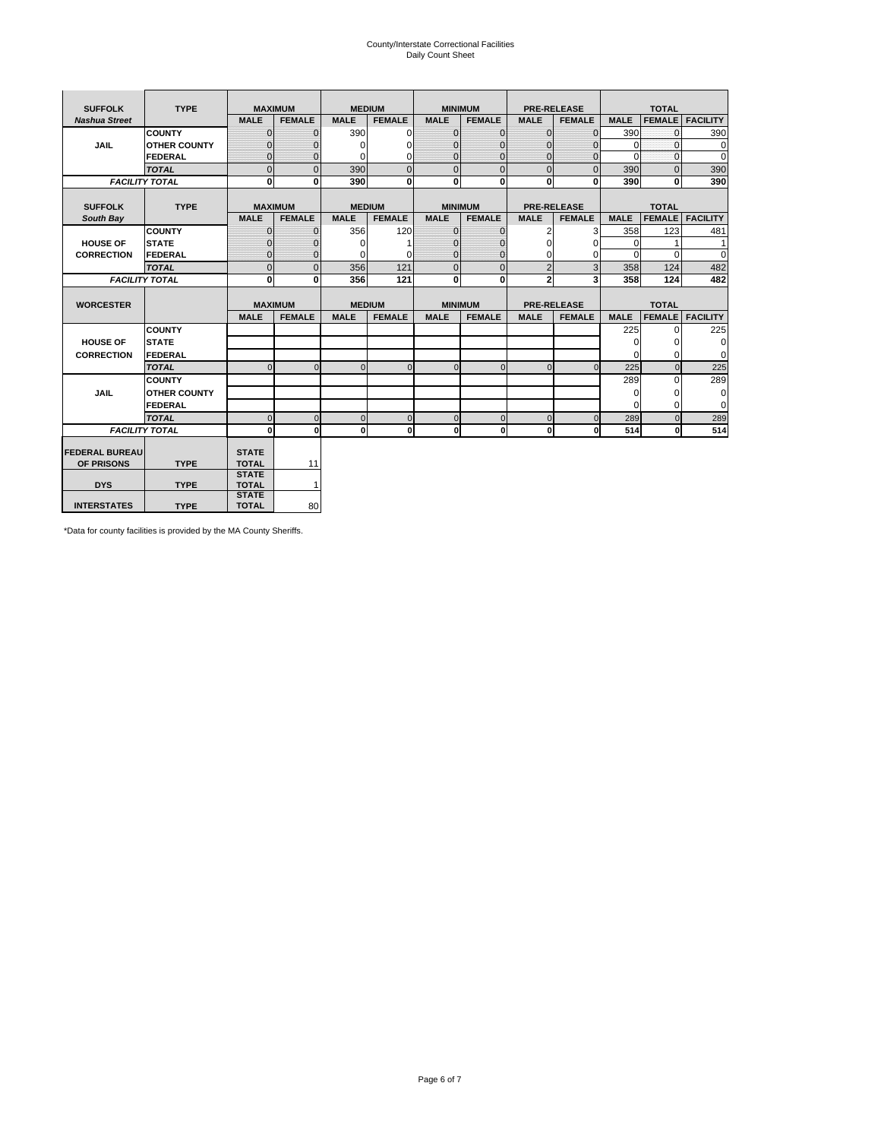# County/Interstate Correctional Facilities Daily Count Sheet

| <b>SUFFOLK</b>        | <b>TYPE</b>           |                              | <b>MAXIMUM</b> | <b>MEDIUM</b> |                |                | <b>MINIMUM</b> |                | <b>PRE-RELEASE</b> |             | <b>TOTAL</b>  |                 |
|-----------------------|-----------------------|------------------------------|----------------|---------------|----------------|----------------|----------------|----------------|--------------------|-------------|---------------|-----------------|
| <b>Nashua Street</b>  |                       | <b>MALE</b>                  | <b>FEMALE</b>  | <b>MALE</b>   | <b>FEMALE</b>  | <b>MALE</b>    | <b>FEMALE</b>  | <b>MALE</b>    | <b>FEMALE</b>      | <b>MALE</b> | <b>FEMALE</b> | <b>FACILITY</b> |
|                       | <b>COUNTY</b>         | $\Omega$                     | $\mathbf{0}$   | 390           | $\Omega$       | $\mathbf{0}$   | $\Omega$       | $\Omega$       | $\Omega$           | 390         | $\Omega$      | 390             |
| <b>JAIL</b>           | <b>OTHER COUNTY</b>   | $\Omega$                     | 0              | $\Omega$      | 0              | $\mathbf{0}$   | $\Omega$       | $\Omega$       | $\Omega$           | $\Omega$    | $\Omega$      | $\mathbf 0$     |
|                       | <b>FEDERAL</b>        | $\Omega$                     | $\Omega$       | 0             | $\Omega$       | $\mathbf{0}$   | $\Omega$       | $\Omega$       | $\Omega$           | $\Omega$    | $\Omega$      | $\Omega$        |
|                       | <b>TOTAL</b>          | $\Omega$                     | $\mathbf 0$    | 390           | $\overline{0}$ | $\mathbf{0}$   | $\mathbf{0}$   | $\mathbf{0}$   | $\Omega$           | 390         | $\Omega$      | 390             |
|                       | <b>FACILITY TOTAL</b> | 0                            | 0              | 390           | $\bf{0}$       | <sub>0</sub>   | 0              | $\mathbf{0}$   | 0                  | 390         | 0             | 390             |
|                       |                       |                              |                |               |                |                |                |                |                    |             |               |                 |
| <b>SUFFOLK</b>        | <b>TYPE</b>           |                              | <b>MAXIMUM</b> | <b>MEDIUM</b> |                |                | <b>MINIMUM</b> |                | <b>PRE-RELEASE</b> |             | <b>TOTAL</b>  |                 |
| South Bay             |                       | <b>MALE</b>                  | <b>FEMALE</b>  | <b>MALE</b>   | <b>FEMALE</b>  | <b>MALE</b>    | <b>FEMALE</b>  | <b>MALE</b>    | <b>FEMALE</b>      | <b>MALE</b> | <b>FEMALE</b> | <b>FACILITY</b> |
|                       | <b>COUNTY</b>         | $\Omega$                     | $\mathbf{0}$   | 356           | 120            | $\mathbf{0}$   | $\mathbf{0}$   | 2              | 3                  | 358         | 123           | 481             |
| <b>HOUSE OF</b>       | <b>STATE</b>          |                              | $\mathbf{0}$   | $\Omega$      |                | $\Omega$       | O              | $\Omega$       | $\Omega$           | $\Omega$    |               | 1               |
| <b>CORRECTION</b>     | <b>FEDERAL</b>        | $\Omega$                     | $\mathbf{0}$   | $\Omega$      | $\Omega$       | $\mathbf{0}$   | $\mathbf{0}$   | $\Omega$       | 0                  | $\Omega$    | $\Omega$      | $\Omega$        |
|                       | <b>TOTAL</b>          | $\Omega$                     | $\overline{0}$ | 356           | 121            | $\overline{0}$ | $\mathbf{0}$   | $\overline{2}$ | 3                  | 358         | 124           | 482             |
|                       | <b>FACILITY TOTAL</b> | 0                            | 0              | 356           | 121            | <sub>0</sub>   | $\bf{0}$       | $\overline{2}$ | 3                  | 358         | 124           | 482             |
|                       |                       |                              |                |               |                |                |                |                |                    |             |               |                 |
| <b>WORCESTER</b>      |                       |                              | <b>MAXIMUM</b> | <b>MEDIUM</b> |                |                | <b>MINIMUM</b> |                | <b>PRE-RELEASE</b> |             | <b>TOTAL</b>  |                 |
|                       |                       | <b>MALE</b>                  | <b>FEMALE</b>  | <b>MALE</b>   | <b>FEMALE</b>  | <b>MALE</b>    | <b>FEMALE</b>  | <b>MALE</b>    | <b>FEMALE</b>      | <b>MALE</b> | <b>FEMALE</b> | <b>FACILITY</b> |
|                       | <b>COUNTY</b>         |                              |                |               |                |                |                |                |                    | 225         | $\Omega$      | 225             |
| <b>HOUSE OF</b>       | <b>STATE</b>          |                              |                |               |                |                |                |                |                    | 0           | 0             | 0               |
| <b>CORRECTION</b>     | <b>FEDERAL</b>        |                              |                |               |                |                |                |                |                    | $\Omega$    | $\Omega$      | $\Omega$        |
|                       | <b>TOTAL</b>          | U                            | $\Omega$       | $\Omega$      | $\mathbf 0$    | $\Omega$       | $\Omega$       | $\Omega$       | $\Omega$           | 225         | $\Omega$      | 225             |
|                       | <b>COUNTY</b>         |                              |                |               |                |                |                |                |                    | 289         | $\Omega$      | 289             |
| <b>JAIL</b>           | <b>OTHER COUNTY</b>   |                              |                |               |                |                |                |                |                    | 0           | 0             | 0               |
|                       | FEDERAL               |                              |                |               |                |                |                |                |                    | $\Omega$    | $\Omega$      | $\Omega$        |
|                       | <b>TOTAL</b>          | $\cap$                       | $\Omega$       | $\Omega$      | $\mathbf{0}$   | $\mathbf{0}$   | $\mathbf{0}$   | $\overline{0}$ | $\Omega$           | 289         | $\Omega$      | 289             |
|                       | <b>FACILITY TOTAL</b> | $\Omega$                     | $\mathbf 0$    | $\Omega$      | 0              | 0              | $\mathbf{0}$   | $\mathbf 0$    | 0                  | 514         | O             | 514             |
|                       |                       |                              |                |               |                |                |                |                |                    |             |               |                 |
| <b>FEDERAL BUREAU</b> |                       | <b>STATE</b>                 |                |               |                |                |                |                |                    |             |               |                 |
| OF PRISONS            | <b>TYPE</b>           | <b>TOTAL</b><br><b>STATE</b> | 11             |               |                |                |                |                |                    |             |               |                 |
| <b>DYS</b>            | <b>TYPE</b>           | <b>TOTAL</b>                 | $\mathbf{1}$   |               |                |                |                |                |                    |             |               |                 |
|                       |                       | <b>STATE</b>                 |                |               |                |                |                |                |                    |             |               |                 |
| <b>INTERSTATES</b>    | <b>TYPE</b>           | <b>TOTAL</b>                 | 80             |               |                |                |                |                |                    |             |               |                 |

\*Data for county facilities is provided by the MA County Sheriffs.